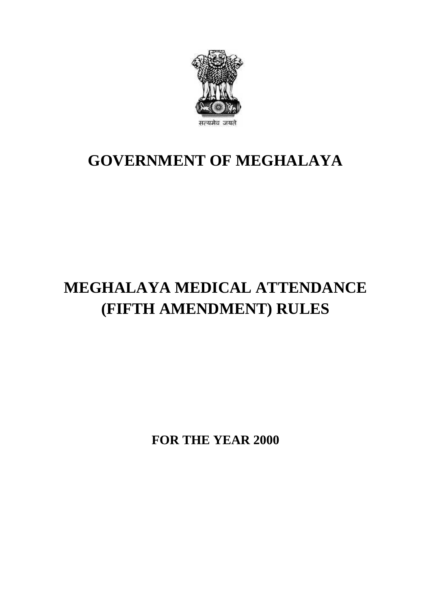

## **GOVERNMENT OF MEGHALAYA**

# **MEGHALAYA MEDICAL ATTENDANCE (FIFTH AMENDMENT) RULES**

**FOR THE YEAR 2000**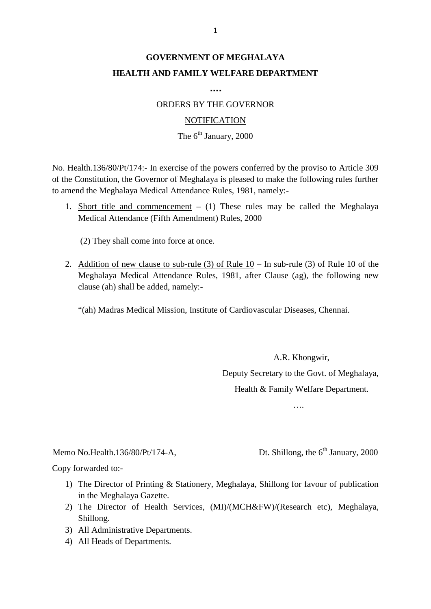## **GOVERNMENT OF MEGHALAYA HEALTH AND FAMILY WELFARE DEPARTMENT**

**….**

ORDERS BY THE GOVERNOR

#### **NOTIFICATION**

### The  $6^{th}$  January, 2000

NOTIFICATION<br>The 6<sup>th</sup> January, 2000<br>No. Health.136/80/Pt/174:- In exercise of the powers conferred by the proviso to Article 309<br>of the Constitution, the Governor of Meghalaya is pleased to make the following rules furthe to amend the Meghalaya Medical Attendance Rules, 1981, namely:- No. Health.136/80/Pt/174:- In exercise of the powers conferred by the proviso to Article 309 of the Constitution, the Governor of Meghalaya is pleased to make the following rules further to amend the Meghalaya Medical Atte

Medical Attendance (Fifth Amendment) Rules, 2000

(2) They shall come into force at once.

Medical Attendance (Fifth Amendment) Rules, 2000<br>
(2) They shall come into force at once.<br>
2. Addition of new clause to sub-rule (3) of Rule 10 – In sub-rule (3) of Rule 10 of the<br>
Meghalaya Medical Attendance Rules, 1981, (2) They shall come into force at once.<br>Addition of new clause to sub-rule (3) of Rule  $10 -$  In sub-rule (3) of Rule 10 of the<br>Meghalaya Medical Attendance Rules, 1981, after Clause (ag), the following new<br>clause (ah) sha clause (ah) shall be added, namely:- Addition of new clause to sub-rule (3) of Rule 10 – In sub-rule (3) of Rule 10 of<br>Meghalaya Medical Attendance Rules, 1981, after Clause (ag), the following i<br>clause (ah) shall be added, namely:-<br>"(ah) Madras Medical Missi

A.R. Khongwir, Deputy Secretary to the Govt. of Meghalaya, Health & Family Welfare Department.

….

# ....<br>Memo No.Health.136/80/Pt/174-A, Dt. Shillong, the 6<sup>th</sup> January, 2000<br>Copy forwarded to:-Memo No.Health.136/80/Pt/174-A,<br>Copy forwarded to:-

- 1) The Director of Printing & Stationery, Meghalaya, Shillong, the 6<sup>th</sup> January, 2000<br>
1) The Director of Printing & Stationery, Meghalaya, Shillong for favour of publication<br>
in the Meghalaya Gazette. in the Meghalaya Gazette.
- 2000<br>2) The Director of Printing & Stationery, Meghalaya, Shillong for favour of publication<br>3) The Director of Health Services, (MI)/(MCH&FW)/(Research etc), Meghalaya,<br>3hillong. Shillong. 1) The Director of Printing & Stationer<br>3) in the Meghalaya Gazette.<br>2) The Director of Health Services,<br>5) All Administrative Departments.<br>4) All Heads of Departments. in the Meghalaya Gazette.<br>
2) The Director of Health<br>
Shillong.<br>
3) All Administrative Departn<br>
4) All Heads of Departments.
- 
-